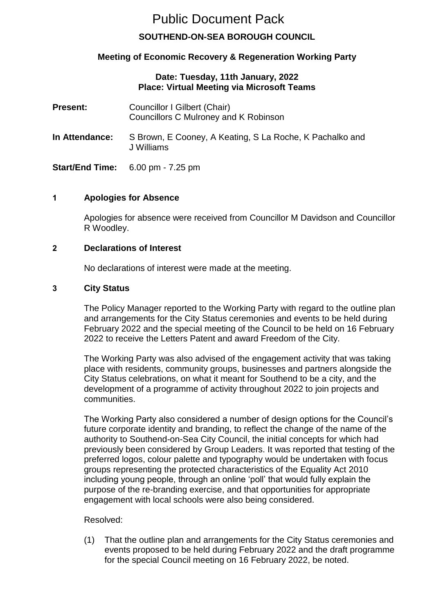# Public Document Pack

# **SOUTHEND-ON-SEA BOROUGH COUNCIL**

# **Meeting of Economic Recovery & Regeneration Working Party**

# **Date: Tuesday, 11th January, 2022 Place: Virtual Meeting via Microsoft Teams**

| <b>Present:</b>       | Councillor I Gilbert (Chair)<br>Councillors C Mulroney and K Robinson  |
|-----------------------|------------------------------------------------------------------------|
| <b>In Attendance:</b> | S Brown, E Cooney, A Keating, S La Roche, K Pachalko and<br>J Williams |
|                       | <b>Start/End Time:</b> $6.00 \text{ pm} \cdot 7.25 \text{ pm}$         |

# **1 Apologies for Absence**

Apologies for absence were received from Councillor M Davidson and Councillor R Woodley.

# **2 Declarations of Interest**

No declarations of interest were made at the meeting.

#### **3 City Status**

The Policy Manager reported to the Working Party with regard to the outline plan and arrangements for the City Status ceremonies and events to be held during February 2022 and the special meeting of the Council to be held on 16 February 2022 to receive the Letters Patent and award Freedom of the City.

The Working Party was also advised of the engagement activity that was taking place with residents, community groups, businesses and partners alongside the City Status celebrations, on what it meant for Southend to be a city, and the development of a programme of activity throughout 2022 to join projects and communities.

The Working Party also considered a number of design options for the Council's future corporate identity and branding, to reflect the change of the name of the authority to Southend-on-Sea City Council, the initial concepts for which had previously been considered by Group Leaders. It was reported that testing of the preferred logos, colour palette and typography would be undertaken with focus groups representing the protected characteristics of the Equality Act 2010 including young people, through an online 'poll' that would fully explain the purpose of the re-branding exercise, and that opportunities for appropriate engagement with local schools were also being considered.

# Resolved:

(1) That the outline plan and arrangements for the City Status ceremonies and events proposed to be held during February 2022 and the draft programme for the special Council meeting on 16 February 2022, be noted.